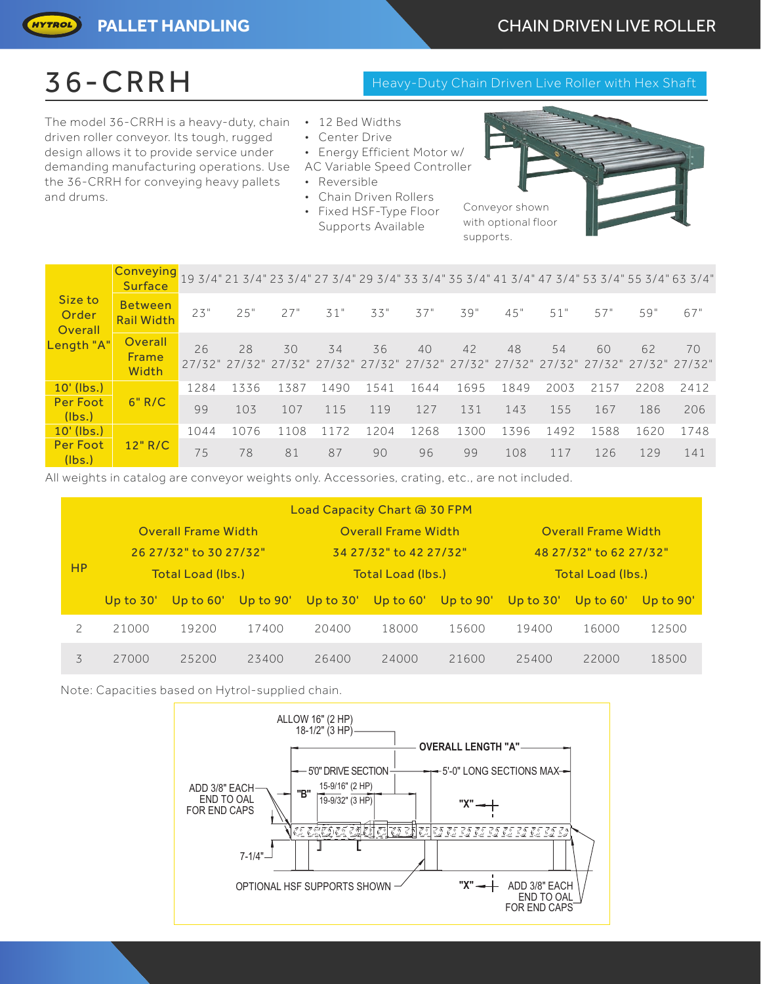The model 36-CRRH is a heavy-duty, chain • 12 Bed Widths driven roller conveyor. Its tough, rugged design allows it to provide service under demanding manufacturing operations. Use AC Variable Speed Controller the 36-CRRH for conveying heavy pallets and drums.

- 
- 
- Center Drive
- Energy Efficient Motor w/
- Reversible
- Chain Driven Rollers
- Fixed HSF-Type Floor Supports Available

| Conveyor shown      |
|---------------------|
| with optional floor |
| supports.           |

| Size to<br>Order<br>Overall | <mark>Conveying</mark> <sub>19 3/4" 21 3/4" 23 3/4" 27 3/4" 29 3/4" 33 3/4" 35 3/4" 41 3/4" 47 3/4" 53 3/4" 55 3/4" 63 3/4"</sub><br><b>Surface</b> |      |                                                                                           |      |      |      |      |      |      |      |      |      |      |
|-----------------------------|-----------------------------------------------------------------------------------------------------------------------------------------------------|------|-------------------------------------------------------------------------------------------|------|------|------|------|------|------|------|------|------|------|
|                             | Between<br><b>Rail Width</b>                                                                                                                        | 23"  | 25"                                                                                       | 27"  | 31"  | 33"  | 37"  | 39"  | 45"  | 51"  | 57"  | 59"  | 67"  |
| Length "A"                  | Overall<br>Frame<br>Width                                                                                                                           | 26   | 28<br>27/32" 27/32" 27/32" 27/32" 27/32" 27/32" 27/32" 27/32" 27/32" 27/32" 27/32" 27/32" | 30   | 34   | 36   | 40   | 42   | 48   | 54   | 60   | 62   | 70   |
| $10'$ (lbs.)                | 6" R/C                                                                                                                                              | 1284 | 1336                                                                                      | 1387 | 1490 | 1541 | 1644 | 1695 | 1849 | 2003 | 2157 | 2208 | 2412 |
| <b>Per Foot</b><br>(lbs.)   |                                                                                                                                                     | 99   | 103                                                                                       | 107  | 115  | 119  | 127  | 131  | 143  | 155  | 167  | 186  | 206  |
| $10'$ (lbs.)                | 12" R/C                                                                                                                                             | 1044 | 1076                                                                                      | 1108 | 1172 | 1204 | 1268 | 1300 | 1396 | 1492 | 1588 | 1620 | 1748 |
| Per Foot<br>(lbs.)          |                                                                                                                                                     | 75   | 78                                                                                        | 81   | 87   | 90   | 96   | 99   | 108  | 117  | 126  | 129  | 141  |

All weights in catalog are conveyor weights only. Accessories, crating, etc., are not included.

| Load Capacity Chart @ 30 FPM |             |                            |             |             |                            |           |                            |             |           |  |  |
|------------------------------|-------------|----------------------------|-------------|-------------|----------------------------|-----------|----------------------------|-------------|-----------|--|--|
|                              |             | <b>Overall Frame Width</b> |             |             | <b>Overall Frame Width</b> |           | <b>Overall Frame Width</b> |             |           |  |  |
|                              |             | 26 27/32" to 30 27/32"     |             |             | 34 27/32" to 42 27/32"     |           | 48 27/32" to 62 27/32"     |             |           |  |  |
| <b>HP</b>                    |             | Total Load (lbs.)          |             |             | Total Load (lbs.)          |           | Total Load (lbs.)          |             |           |  |  |
|                              | Up to $30'$ | Up to $60'$                | Up to $90'$ | Up to $30'$ | Up to $60'$                | Up to 90' | Up to $30'$                | Up to $60'$ | Up to 90' |  |  |
| 2                            | 21000       | 19200                      | 17400       | 20400       | 18000                      | 15600     | 19400                      | 16000       | 12500     |  |  |
|                              |             |                            |             |             |                            |           |                            |             |           |  |  |

Note: Capacities based on Hytrol-supplied chain.